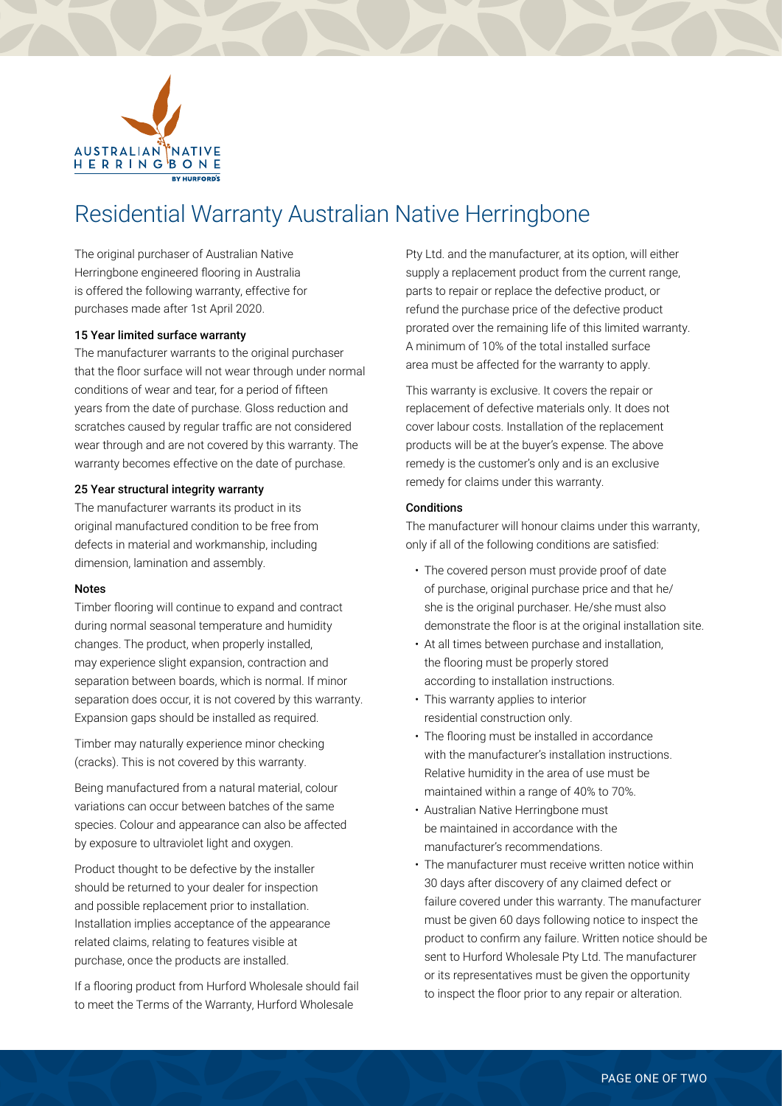

## Residential Warranty Australian Native Herringbone

The original purchaser of Australian Native Herringbone engineered flooring in Australia is offered the following warranty, effective for purchases made after 1st April 2020.

#### 15 Year limited surface warranty

The manufacturer warrants to the original purchaser that the floor surface will not wear through under normal conditions of wear and tear, for a period of fifteen years from the date of purchase. Gloss reduction and scratches caused by regular traffic are not considered wear through and are not covered by this warranty. The warranty becomes effective on the date of purchase.

#### 25 Year structural integrity warranty

The manufacturer warrants its product in its original manufactured condition to be free from defects in material and workmanship, including dimension, lamination and assembly.

#### Notes

Timber flooring will continue to expand and contract during normal seasonal temperature and humidity changes. The product, when properly installed, may experience slight expansion, contraction and separation between boards, which is normal. If minor separation does occur, it is not covered by this warranty. Expansion gaps should be installed as required.

Timber may naturally experience minor checking (cracks). This is not covered by this warranty.

Being manufactured from a natural material, colour variations can occur between batches of the same species. Colour and appearance can also be affected by exposure to ultraviolet light and oxygen.

Product thought to be defective by the installer should be returned to your dealer for inspection and possible replacement prior to installation. Installation implies acceptance of the appearance related claims, relating to features visible at purchase, once the products are installed.

If a flooring product from Hurford Wholesale should fail to meet the Terms of the Warranty, Hurford Wholesale

Pty Ltd. and the manufacturer, at its option, will either supply a replacement product from the current range, parts to repair or replace the defective product, or refund the purchase price of the defective product prorated over the remaining life of this limited warranty. A minimum of 10% of the total installed surface area must be affected for the warranty to apply.

This warranty is exclusive. It covers the repair or replacement of defective materials only. It does not cover labour costs. Installation of the replacement products will be at the buyer's expense. The above remedy is the customer's only and is an exclusive remedy for claims under this warranty.

#### **Conditions**

The manufacturer will honour claims under this warranty, only if all of the following conditions are satisfied:

- The covered person must provide proof of date of purchase, original purchase price and that he/ she is the original purchaser. He/she must also demonstrate the floor is at the original installation site.
- At all times between purchase and installation, the flooring must be properly stored according to installation instructions.
- This warranty applies to interior residential construction only.
- The flooring must be installed in accordance with the manufacturer's installation instructions. Relative humidity in the area of use must be maintained within a range of 40% to 70%.
- Australian Native Herringbone must be maintained in accordance with the manufacturer's recommendations.
- The manufacturer must receive written notice within 30 days after discovery of any claimed defect or failure covered under this warranty. The manufacturer must be given 60 days following notice to inspect the product to confirm any failure. Written notice should be sent to Hurford Wholesale Pty Ltd. The manufacturer or its representatives must be given the opportunity to inspect the floor prior to any repair or alteration.